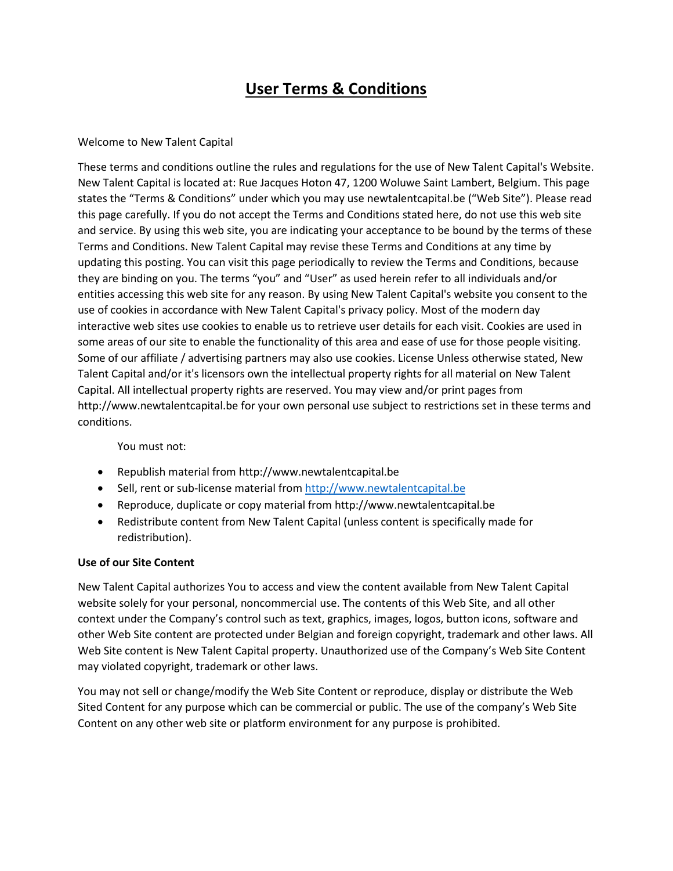# **User Terms & Conditions**

## Welcome to New Talent Capital

These terms and conditions outline the rules and regulations for the use of New Talent Capital's Website. New Talent Capital is located at: Rue Jacques Hoton 47, 1200 Woluwe Saint Lambert, Belgium. This page states the "Terms & Conditions" under which you may use newtalentcapital.be ("Web Site"). Please read this page carefully. If you do not accept the Terms and Conditions stated here, do not use this web site and service. By using this web site, you are indicating your acceptance to be bound by the terms of these Terms and Conditions. New Talent Capital may revise these Terms and Conditions at any time by updating this posting. You can visit this page periodically to review the Terms and Conditions, because they are binding on you. The terms "you" and "User" as used herein refer to all individuals and/or entities accessing this web site for any reason. By using New Talent Capital's website you consent to the use of cookies in accordance with New Talent Capital's privacy policy. Most of the modern day interactive web sites use cookies to enable us to retrieve user details for each visit. Cookies are used in some areas of our site to enable the functionality of this area and ease of use for those people visiting. Some of our affiliate / advertising partners may also use cookies. License Unless otherwise stated, New Talent Capital and/or it's licensors own the intellectual property rights for all material on New Talent Capital. All intellectual property rights are reserved. You may view and/or print pages from http://www.newtalentcapital.be for your own personal use subject to restrictions set in these terms and conditions.

#### You must not:

- Republish material from http://www.newtalentcapital.be
- Sell, rent or sub-license material fro[m http://www.newtalentcapital.be](http://www.newtalentcapital.be/)
- Reproduce, duplicate or copy material from http://www.newtalentcapital.be
- Redistribute content from New Talent Capital (unless content is specifically made for redistribution).

#### **Use of our Site Content**

New Talent Capital authorizes You to access and view the content available from New Talent Capital website solely for your personal, noncommercial use. The contents of this Web Site, and all other context under the Company's control such as text, graphics, images, logos, button icons, software and other Web Site content are protected under Belgian and foreign copyright, trademark and other laws. All Web Site content is New Talent Capital property. Unauthorized use of the Company's Web Site Content may violated copyright, trademark or other laws.

You may not sell or change/modify the Web Site Content or reproduce, display or distribute the Web Sited Content for any purpose which can be commercial or public. The use of the company's Web Site Content on any other web site or platform environment for any purpose is prohibited.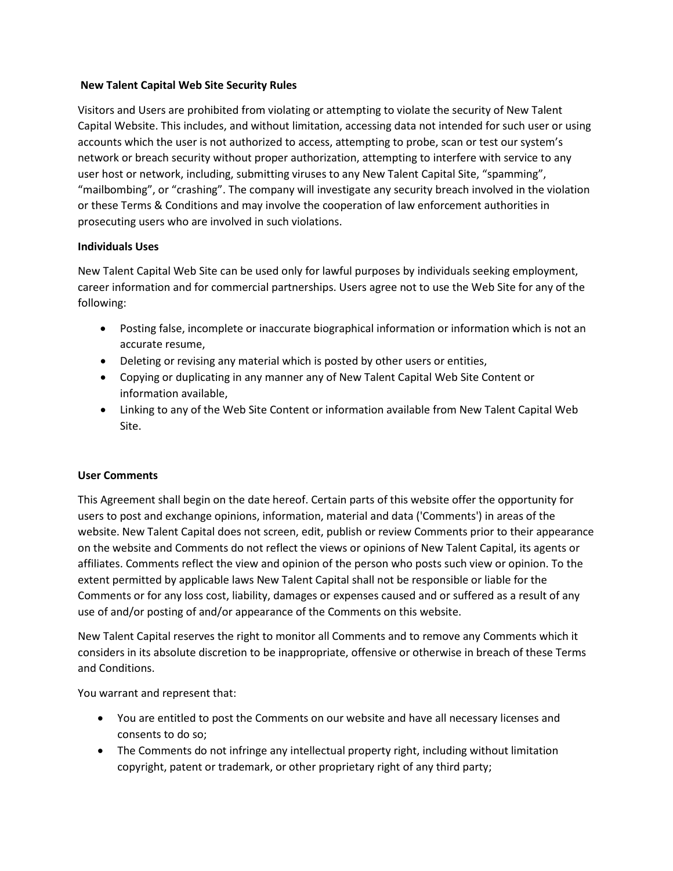## **New Talent Capital Web Site Security Rules**

Visitors and Users are prohibited from violating or attempting to violate the security of New Talent Capital Website. This includes, and without limitation, accessing data not intended for such user or using accounts which the user is not authorized to access, attempting to probe, scan or test our system's network or breach security without proper authorization, attempting to interfere with service to any user host or network, including, submitting viruses to any New Talent Capital Site, "spamming", "mailbombing", or "crashing". The company will investigate any security breach involved in the violation or these Terms & Conditions and may involve the cooperation of law enforcement authorities in prosecuting users who are involved in such violations.

## **Individuals Uses**

New Talent Capital Web Site can be used only for lawful purposes by individuals seeking employment, career information and for commercial partnerships. Users agree not to use the Web Site for any of the following:

- Posting false, incomplete or inaccurate biographical information or information which is not an accurate resume,
- Deleting or revising any material which is posted by other users or entities,
- Copying or duplicating in any manner any of New Talent Capital Web Site Content or information available,
- Linking to any of the Web Site Content or information available from New Talent Capital Web Site.

#### **User Comments**

This Agreement shall begin on the date hereof. Certain parts of this website offer the opportunity for users to post and exchange opinions, information, material and data ('Comments') in areas of the website. New Talent Capital does not screen, edit, publish or review Comments prior to their appearance on the website and Comments do not reflect the views or opinions of New Talent Capital, its agents or affiliates. Comments reflect the view and opinion of the person who posts such view or opinion. To the extent permitted by applicable laws New Talent Capital shall not be responsible or liable for the Comments or for any loss cost, liability, damages or expenses caused and or suffered as a result of any use of and/or posting of and/or appearance of the Comments on this website.

New Talent Capital reserves the right to monitor all Comments and to remove any Comments which it considers in its absolute discretion to be inappropriate, offensive or otherwise in breach of these Terms and Conditions.

You warrant and represent that:

- You are entitled to post the Comments on our website and have all necessary licenses and consents to do so;
- The Comments do not infringe any intellectual property right, including without limitation copyright, patent or trademark, or other proprietary right of any third party;